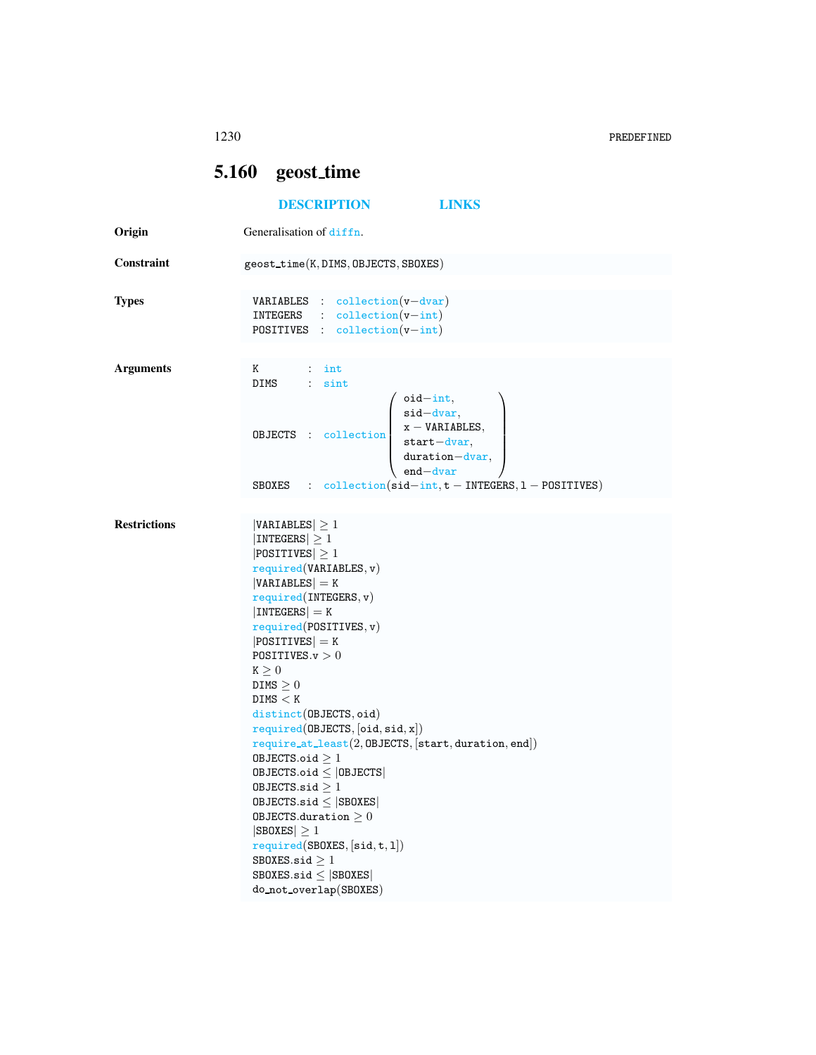|                     | 5.160 geost_time                                                                                                                                                                                                                                                                                                                                                                                                                                                                                                                                                                                                                                                                                  |  |  |  |
|---------------------|---------------------------------------------------------------------------------------------------------------------------------------------------------------------------------------------------------------------------------------------------------------------------------------------------------------------------------------------------------------------------------------------------------------------------------------------------------------------------------------------------------------------------------------------------------------------------------------------------------------------------------------------------------------------------------------------------|--|--|--|
|                     | <b>DESCRIPTION</b><br><b>LINKS</b>                                                                                                                                                                                                                                                                                                                                                                                                                                                                                                                                                                                                                                                                |  |  |  |
| Origin              | Generalisation of diffn.                                                                                                                                                                                                                                                                                                                                                                                                                                                                                                                                                                                                                                                                          |  |  |  |
| Constraint          | geost_time(K,DIMS, OBJECTS, SBOXES)                                                                                                                                                                                                                                                                                                                                                                                                                                                                                                                                                                                                                                                               |  |  |  |
| Types               | <b>VARIABLES</b> : $\text{collection}(v-\text{dvar})$<br>INTEGERS : collection(v-int)<br>POSITIVES : $\text{collection}(v\text{-int})$                                                                                                                                                                                                                                                                                                                                                                                                                                                                                                                                                            |  |  |  |
| <b>Arguments</b>    | $K$ and $K$<br>$\therefore$ int<br>DIMS : sint<br>$oid-int,$<br><b>OBJECTS</b> : collection $\begin{cases} \text{sid–dvar,} \\ x - \text{VARIABLES,} \\ \text{start–dvar,} \end{cases}$<br>$duration-dvar,$<br>$end - dvar$                                                                                                                                                                                                                                                                                                                                                                                                                                                                       |  |  |  |
|                     | SBOXES : $\text{collection}(\text{sid-int}, t - \text{INTERS}, 1 - \text{POSITIVES})$                                                                                                                                                                                                                                                                                                                                                                                                                                                                                                                                                                                                             |  |  |  |
| <b>Restrictions</b> | $ VARIABLES  \geq 1$<br>$ INTEGERS  \geq 1$<br>$ POSITIVES  \geq 1$<br>required(VARIABLES, v)<br>$ VARIABLES $ = K<br>required(INTERS, v)<br>$ INTEGERS  = K$<br>required(POSTTIVES, v)<br>$ POSITIVES $ = K<br>POSITIVES. $v > 0$<br>K > 0<br>$DIMS \geq 0$<br>DIMS < K<br>distinct(OBJECTS, oid)<br>required(DBJECTS, [oid, sid, x])<br>$require\_at\_least(2, \texttt{OBJECTS}, [\texttt{start}, \texttt{duration}, \texttt{end}])$<br>OBJECTS.oid $\geq 1$<br>OBJECTS.oid $\leq$  OBJECTS <br>OBJECTS.sid $\geq 1$<br>$0$ BJECTS.sid $\leq$  SB0XES <br>OBJECTS.duration $\geq 0$<br>$ SBOKES  \geq 1$<br>required(SBOXES, [sid, t, 1])<br>SBOXES.sid $\geq 1$<br>$SBOKES.size \leq  SBOKES $ |  |  |  |

do not overlap(SBOXES)

<span id="page-0-0"></span>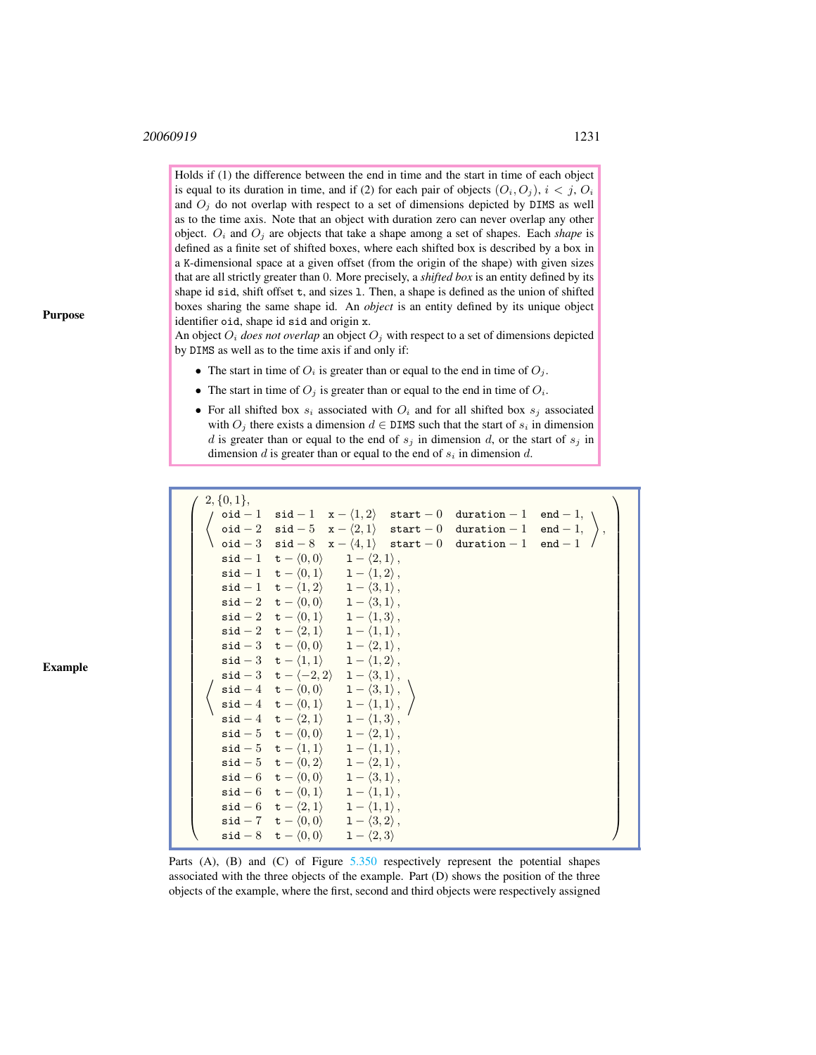## 20060919 1231

Holds if (1) the difference between the end in time and the start in time of each object is equal to its duration in time, and if (2) for each pair of objects  $(O_i, O_j)$ ,  $i < j$ ,  $O_i$ and  $O_j$  do not overlap with respect to a set of dimensions depicted by DIMS as well as to the time axis. Note that an object with duration zero can never overlap any other object.  $O_i$  and  $O_j$  are objects that take a shape among a set of shapes. Each *shape* is defined as a finite set of shifted boxes, where each shifted box is described by a box in a K-dimensional space at a given offset (from the origin of the shape) with given sizes that are all strictly greater than 0. More precisely, a *shifted box* is an entity defined by its shape id sid, shift offset t, and sizes l. Then, a shape is defined as the union of shifted boxes sharing the same shape id. An *object* is an entity defined by its unique object identifier oid, shape id sid and origin x.

An object  $O_i$  *does not overlap* an object  $O_j$  with respect to a set of dimensions depicted by DIMS as well as to the time axis if and only if:

- The start in time of  $O_i$  is greater than or equal to the end in time of  $O_i$ .
- The start in time of  $O_j$  is greater than or equal to the end in time of  $O_i$ .
- For all shifted box  $s_i$  associated with  $O_i$  and for all shifted box  $s_j$  associated with  $O_j$  there exists a dimension  $d \in \text{DIMS}$  such that the start of  $s_i$  in dimension d is greater than or equal to the end of  $s_j$  in dimension d, or the start of  $s_j$  in dimension  $d$  is greater than or equal to the end of  $s_i$  in dimension  $d$ .

| $2, \{0, 1\},\$ |                                                                                                                                                 |  |                                                                                                                                                                                                                                                                                                                                                                                                                                                                                         |  |
|-----------------|-------------------------------------------------------------------------------------------------------------------------------------------------|--|-----------------------------------------------------------------------------------------------------------------------------------------------------------------------------------------------------------------------------------------------------------------------------------------------------------------------------------------------------------------------------------------------------------------------------------------------------------------------------------------|--|
|                 |                                                                                                                                                 |  | $\left\{\begin{array}{llll} \texttt{oid} - 1 & \texttt{sid} - 1 & \texttt{x} - \langle 1, 2 \rangle & \texttt{start} - 0 & \texttt{duration} - 1 & \texttt{end} - 1, \\ \texttt{oid} - 2 & \texttt{sid} - 5 & \texttt{x} - \langle 2, 1 \rangle & \texttt{start} - 0 & \texttt{duration} - 1 & \texttt{end} - 1, \\ \texttt{oid} - 3 & \texttt{sid} - 8 & \texttt{x} - \langle 4, 1 \rangle & \texttt{start} - 0 & \texttt{duration} - 1 & \texttt{end} - 1 \right. \end{array}\right\$ |  |
|                 |                                                                                                                                                 |  |                                                                                                                                                                                                                                                                                                                                                                                                                                                                                         |  |
|                 |                                                                                                                                                 |  |                                                                                                                                                                                                                                                                                                                                                                                                                                                                                         |  |
|                 | $\mathsf{sid} - 1 \quad \mathsf{t} - \langle 0, 0 \rangle \qquad \mathsf{1} - \langle 2, 1 \rangle$ ,                                           |  |                                                                                                                                                                                                                                                                                                                                                                                                                                                                                         |  |
|                 | $\mathsf{sid} - 1 \quad \mathsf{t} - \langle 0, 1 \rangle \quad 1 - \langle 1, 2 \rangle$ ,                                                     |  |                                                                                                                                                                                                                                                                                                                                                                                                                                                                                         |  |
|                 | $\mathsf{sid} - 1 \quad \mathsf{t} - \langle 1, 2 \rangle \quad \mathsf{1} - \langle 3, 1 \rangle$ ,                                            |  |                                                                                                                                                                                                                                                                                                                                                                                                                                                                                         |  |
|                 | $\texttt{sid} - 2 \quad \texttt{t} - \langle 0, 0 \rangle \quad 1 - \langle 3, 1 \rangle,$                                                      |  |                                                                                                                                                                                                                                                                                                                                                                                                                                                                                         |  |
|                 | $\texttt{sid} - 2 \quad \texttt{t} - \langle 0, 1 \rangle \quad 1 - \langle 1, 3 \rangle,$                                                      |  |                                                                                                                                                                                                                                                                                                                                                                                                                                                                                         |  |
|                 | $\mathsf{sid}-2 \quad \mathsf{t}-\langle 2,1\rangle \qquad 1-\langle 1,1\rangle\,,$                                                             |  |                                                                                                                                                                                                                                                                                                                                                                                                                                                                                         |  |
|                 | $\mathsf{sid} - 3 \quad \mathsf{t} - \langle 0,0 \rangle \quad 1 - \langle 2,1 \rangle,$                                                        |  |                                                                                                                                                                                                                                                                                                                                                                                                                                                                                         |  |
|                 | $\texttt{sid} - 3 \quad \texttt{t} - \langle 1, 1 \rangle \quad 1 - \langle 1, 2 \rangle,$                                                      |  |                                                                                                                                                                                                                                                                                                                                                                                                                                                                                         |  |
|                 | $\texttt{sid}-3 \quad \texttt{t}-\langle -2,2\rangle \quad \texttt{1}-\langle 3,1\rangle\,,$                                                    |  |                                                                                                                                                                                                                                                                                                                                                                                                                                                                                         |  |
|                 | $\begin{array}{ccc} \sqrt{\phantom{a}}\texttt{sid} - 4 & \texttt{t} - \langle 0, 0 \rangle & \mathbf{1} - \langle 3, 1 \rangle \,, \end{array}$ |  |                                                                                                                                                                                                                                                                                                                                                                                                                                                                                         |  |
|                 | $\left\{ \begin{array}{ccc} \mathtt{sid-4} & \mathtt{t}-\langle0,1\rangle & 1-\langle1,1\rangle\,, \end{array}\right.$                          |  |                                                                                                                                                                                                                                                                                                                                                                                                                                                                                         |  |
|                 | $\texttt{sid} - 4 \quad \texttt{t} - \langle 2, 1 \rangle \quad 1 - \langle 1, 3 \rangle,$                                                      |  |                                                                                                                                                                                                                                                                                                                                                                                                                                                                                         |  |
|                 | $\texttt{sid} - 5 \quad \texttt{t} - \langle 0, 0 \rangle \quad 1 - \langle 2, 1 \rangle,$                                                      |  |                                                                                                                                                                                                                                                                                                                                                                                                                                                                                         |  |
|                 | $\mathsf{sid-5} \quad \mathsf{t}-\langle 1,1\rangle \qquad 1-\langle 1,1\rangle$ ,                                                              |  |                                                                                                                                                                                                                                                                                                                                                                                                                                                                                         |  |
|                 | $\texttt{sid} - 5 \quad \texttt{t} - \langle 0, 2 \rangle \quad 1 - \langle 2, 1 \rangle,$                                                      |  |                                                                                                                                                                                                                                                                                                                                                                                                                                                                                         |  |
|                 | $\texttt{sid} - 6 \quad \texttt{t} - \langle 0, 0 \rangle \quad 1 - \langle 3, 1 \rangle,$                                                      |  |                                                                                                                                                                                                                                                                                                                                                                                                                                                                                         |  |
|                 | $\mathsf{sid} - 6 \quad \mathsf{t} - \langle 0, 1 \rangle \quad \mathsf{1} - \langle 1, 1 \rangle,$                                             |  |                                                                                                                                                                                                                                                                                                                                                                                                                                                                                         |  |
|                 | $\mathsf{sid-6} \quad \mathsf{t}-\langle 2,1\rangle \qquad 1-\langle 1,1\rangle\,,$                                                             |  |                                                                                                                                                                                                                                                                                                                                                                                                                                                                                         |  |
|                 | $\texttt{sid} - 7 \quad \texttt{t} - \langle 0, 0 \rangle \quad 1 - \langle 3, 2 \rangle,$                                                      |  |                                                                                                                                                                                                                                                                                                                                                                                                                                                                                         |  |
|                 | $\mathsf{sid-8} \quad \mathsf{t}-\langle 0,0 \rangle \qquad \mathsf{1}-\langle 2,3 \rangle$                                                     |  |                                                                                                                                                                                                                                                                                                                                                                                                                                                                                         |  |

Parts (A), (B) and (C) of Figure [5.350](#page-2-0) respectively represent the potential shapes associated with the three objects of the example. Part (D) shows the position of the three objects of the example, where the first, second and third objects were respectively assigned

Purpose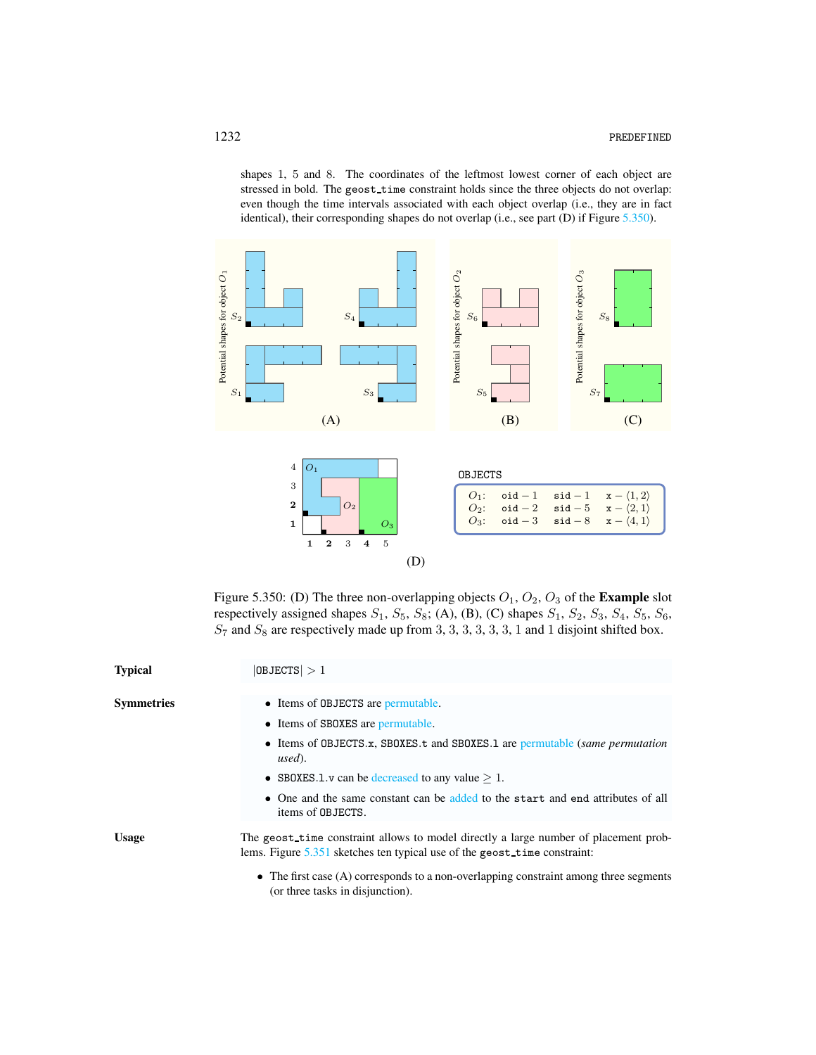shapes 1, 5 and 8. The coordinates of the leftmost lowest corner of each object are stressed in bold. The geost\_time constraint holds since the three objects do not overlap: even though the time intervals associated with each object overlap (i.e., they are in fact identical), their corresponding shapes do not overlap (i.e., see part (D) if Figure [5.350\)](#page-2-0).



<span id="page-2-0"></span>Figure 5.350: (D) The three non-overlapping objects  $O_1$ ,  $O_2$ ,  $O_3$  of the **Example** slot respectively assigned shapes  $S_1$ ,  $S_5$ ,  $S_8$ ; (A), (B), (C) shapes  $S_1$ ,  $S_2$ ,  $S_3$ ,  $S_4$ ,  $S_5$ ,  $S_6$ ,  $S_7$  and  $S_8$  are respectively made up from 3, 3, 3, 3, 3, 3, 1 and 1 disjoint shifted box.

| <b>Typical</b>    | $ 0$ BJECTS $ >1$                                                                                                                                                   |  |  |  |
|-------------------|---------------------------------------------------------------------------------------------------------------------------------------------------------------------|--|--|--|
| <b>Symmetries</b> | • Items of OBJECTS are permutable.<br>• Items of SBOXES are permutable.                                                                                             |  |  |  |
|                   | • Items of OBJECTS.x, SBOXES.t and SBOXES.1 are permutable (same permutation<br>used).                                                                              |  |  |  |
|                   | • SBOXES.1.v can be decreased to any value $> 1$ .                                                                                                                  |  |  |  |
|                   | • One and the same constant can be added to the start and end attributes of all<br>items of OBJECTS.                                                                |  |  |  |
| <b>Usage</b>      | The geost time constraint allows to model directly a large number of placement prob-<br>lems. Figure $5.351$ sketches ten typical use of the geost-time constraint: |  |  |  |
|                   | $\bullet$ The first case (A) corresponds to a non-overlapping constraint among three segments<br>(or three tasks in disjunction).                                   |  |  |  |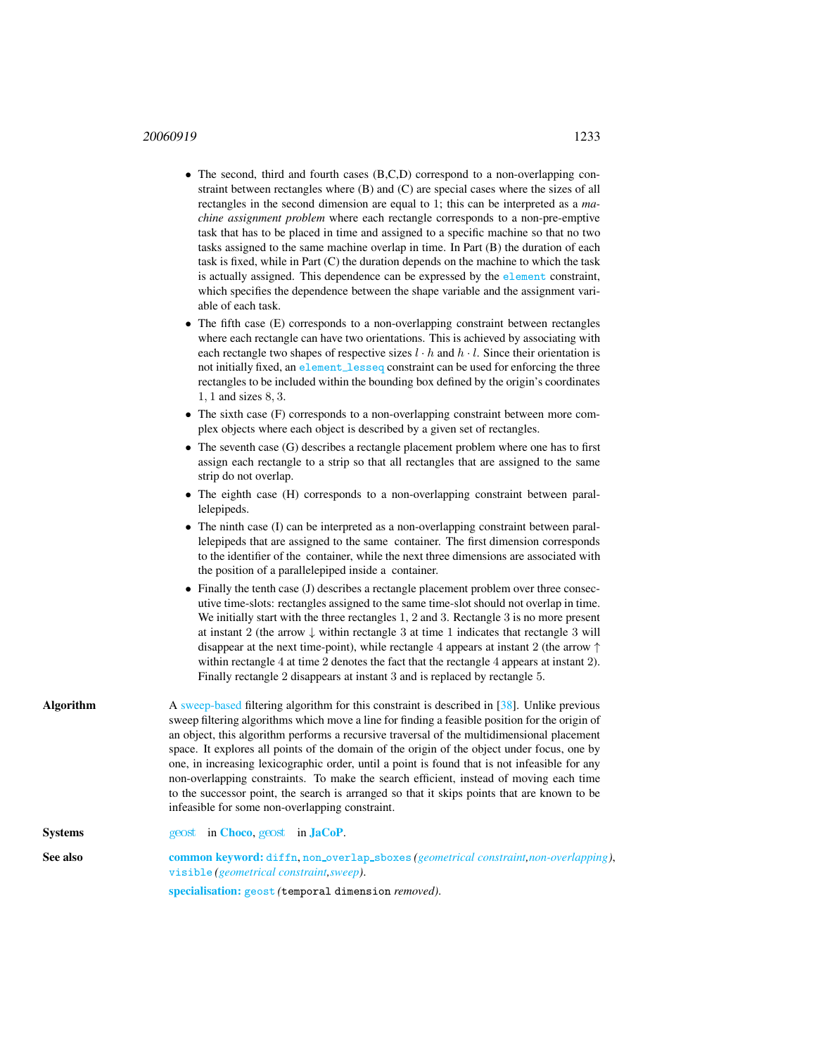## 20060919 1233

- The second, third and fourth cases (B,C,D) correspond to a non-overlapping constraint between rectangles where (B) and (C) are special cases where the sizes of all rectangles in the second dimension are equal to 1; this can be interpreted as a *machine assignment problem* where each rectangle corresponds to a non-pre-emptive task that has to be placed in time and assigned to a specific machine so that no two tasks assigned to the same machine overlap in time. In Part (B) the duration of each task is fixed, while in Part (C) the duration depends on the machine to which the task is actually assigned. This dependence can be expressed by the element constraint, which specifies the dependence between the shape variable and the assignment variable of each task.
- The fifth case (E) corresponds to a non-overlapping constraint between rectangles where each rectangle can have two orientations. This is achieved by associating with each rectangle two shapes of respective sizes  $l \cdot h$  and  $h \cdot l$ . Since their orientation is not initially fixed, an element\_lesseq constraint can be used for enforcing the three rectangles to be included within the bounding box defined by the origin's coordinates 1, 1 and sizes 8, 3.
- The sixth case (F) corresponds to a non-overlapping constraint between more complex objects where each object is described by a given set of rectangles.
- The seventh case (G) describes a rectangle placement problem where one has to first assign each rectangle to a strip so that all rectangles that are assigned to the same strip do not overlap.
- The eighth case (H) corresponds to a non-overlapping constraint between parallelepipeds.
- The ninth case (I) can be interpreted as a non-overlapping constraint between parallelepipeds that are assigned to the same container. The first dimension corresponds to the identifier of the container, while the next three dimensions are associated with the position of a parallelepiped inside a container.
- Finally the tenth case (J) describes a rectangle placement problem over three consecutive time-slots: rectangles assigned to the same time-slot should not overlap in time. We initially start with the three rectangles 1, 2 and 3. Rectangle 3 is no more present at instant 2 (the arrow  $\downarrow$  within rectangle 3 at time 1 indicates that rectangle 3 will disappear at the next time-point), while rectangle 4 appears at instant 2 (the arrow  $\uparrow$ within rectangle 4 at time 2 denotes the fact that the rectangle 4 appears at instant 2). Finally rectangle 2 disappears at instant 3 and is replaced by rectangle 5.
- Algorithm A sweep-based filtering algorithm for this constraint is described in [38]. Unlike previous sweep filtering algorithms which move a line for finding a feasible position for the origin of an object, this algorithm performs a recursive traversal of the multidimensional placement space. It explores all points of the domain of the origin of the object under focus, one by one, in increasing lexicographic order, until a point is found that is not infeasible for any non-overlapping constraints. To make the search efficient, instead of moving each time to the successor point, the search is arranged so that it skips points that are known to be infeasible for some non-overlapping constraint.
- Systems [geost](http://jacopapi.osolpro.com/JaCoP/constraints/geost/Geost.html) in [Choco](http://choco.emn.fr/), geost in [JaCoP](http://www.jacop.eu/).
- <span id="page-3-0"></span>See also common keyword: diffn, non\_overlap\_sboxes (geometrical constraint, non-overlapping), visible *(geometrical constraint,sweep)*. specialisation: geost *(*temporal dimension *removed)*.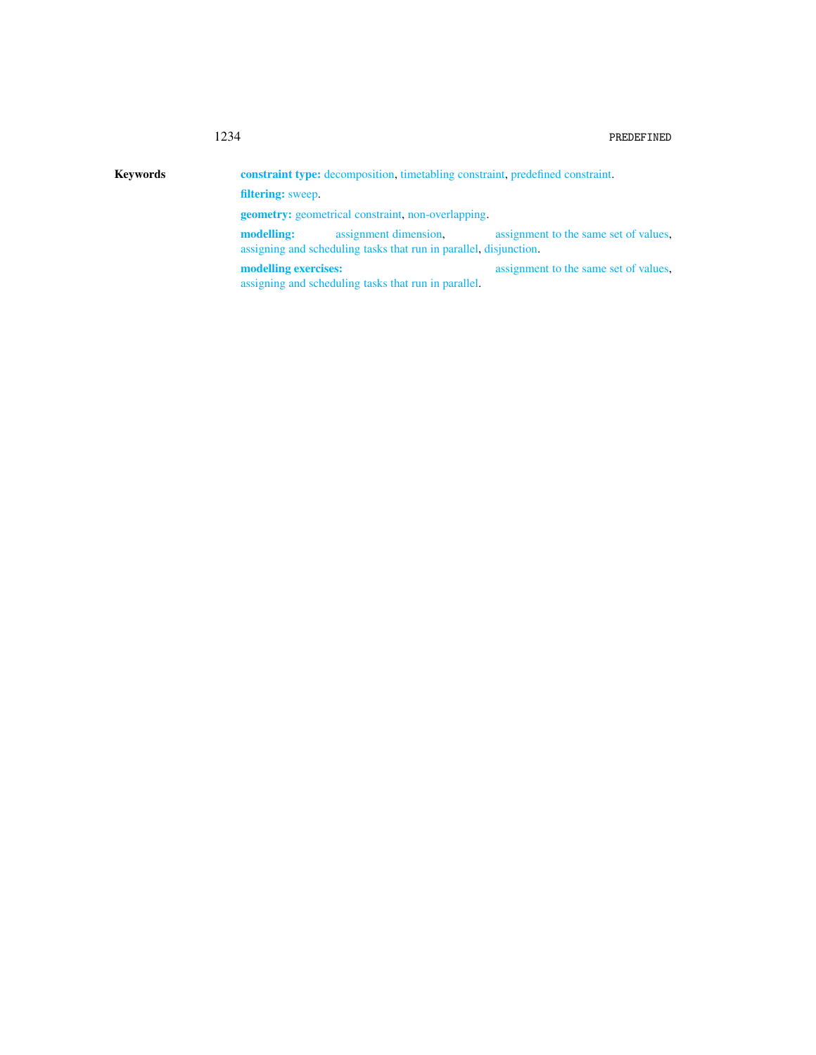| <b>Keywords</b> | <b>constraint type:</b> decomposition, timetabling constraint, predefined constraint.                    |                                       |  |  |  |  |  |
|-----------------|----------------------------------------------------------------------------------------------------------|---------------------------------------|--|--|--|--|--|
|                 | <b>filtering:</b> sweep.                                                                                 |                                       |  |  |  |  |  |
|                 | <b>geometry:</b> geometrical constraint, non-overlapping.                                                |                                       |  |  |  |  |  |
|                 | assignment dimension.<br>modelling:<br>assigning and scheduling tasks that run in parallel, disjunction. | assignment to the same set of values. |  |  |  |  |  |
|                 | modelling exercises:<br>assigning and scheduling tasks that run in parallel.                             | assignment to the same set of values. |  |  |  |  |  |